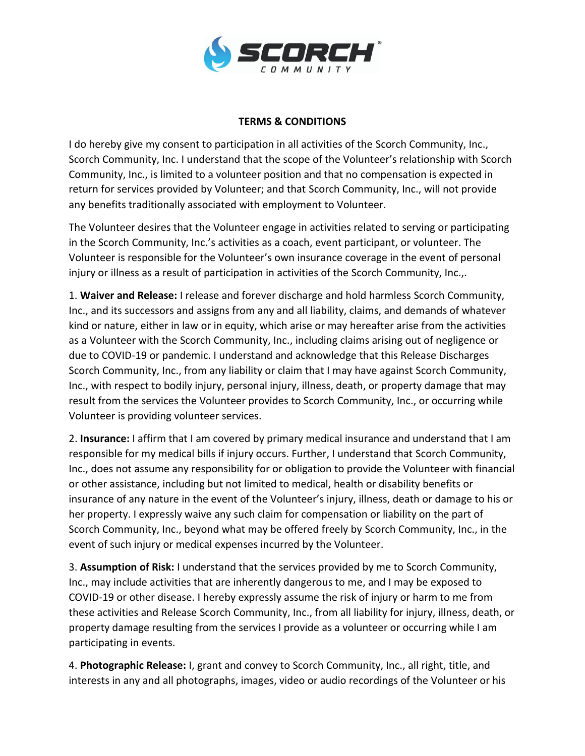

## **TERMS & CONDITIONS**

I do hereby give my consent to participation in all activities of the Scorch Community, Inc., Scorch Community, Inc. I understand that the scope of the Volunteer's relationship with Scorch Community, Inc., is limited to a volunteer position and that no compensation is expected in return for services provided by Volunteer; and that Scorch Community, Inc., will not provide any benefits traditionally associated with employment to Volunteer.

The Volunteer desires that the Volunteer engage in activities related to serving or participating in the Scorch Community, Inc.'s activities as a coach, event participant, or volunteer. The Volunteer is responsible for the Volunteer's own insurance coverage in the event of personal injury or illness as a result of participation in activities of the Scorch Community, Inc.,.

1. **Waiver and Release:** I release and forever discharge and hold harmless Scorch Community, Inc., and its successors and assigns from any and all liability, claims, and demands of whatever kind or nature, either in law or in equity, which arise or may hereafter arise from the activities as a Volunteer with the Scorch Community, Inc., including claims arising out of negligence or due to COVID-19 or pandemic. I understand and acknowledge that this Release Discharges Scorch Community, Inc., from any liability or claim that I may have against Scorch Community, Inc., with respect to bodily injury, personal injury, illness, death, or property damage that may result from the services the Volunteer provides to Scorch Community, Inc., or occurring while Volunteer is providing volunteer services.

2. **Insurance:** I affirm that I am covered by primary medical insurance and understand that I am responsible for my medical bills if injury occurs. Further, I understand that Scorch Community, Inc., does not assume any responsibility for or obligation to provide the Volunteer with financial or other assistance, including but not limited to medical, health or disability benefits or insurance of any nature in the event of the Volunteer's injury, illness, death or damage to his or her property. I expressly waive any such claim for compensation or liability on the part of Scorch Community, Inc., beyond what may be offered freely by Scorch Community, Inc., in the event of such injury or medical expenses incurred by the Volunteer.

3. **Assumption of Risk:** I understand that the services provided by me to Scorch Community, Inc., may include activities that are inherently dangerous to me, and I may be exposed to COVID-19 or other disease. I hereby expressly assume the risk of injury or harm to me from these activities and Release Scorch Community, Inc., from all liability for injury, illness, death, or property damage resulting from the services I provide as a volunteer or occurring while I am participating in events.

4. **Photographic Release:** I, grant and convey to Scorch Community, Inc., all right, title, and interests in any and all photographs, images, video or audio recordings of the Volunteer or his